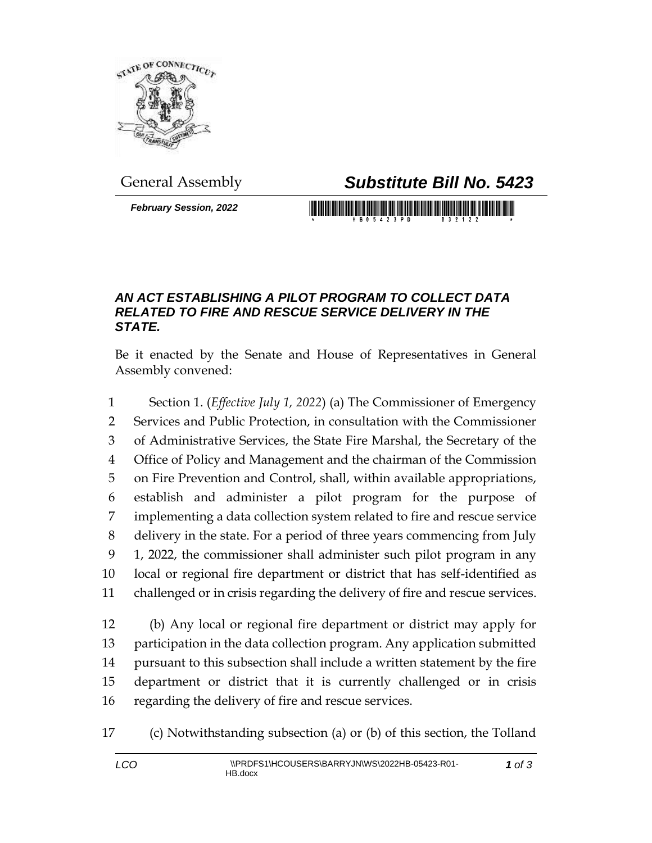

*February Session, 2022*

General Assembly *Substitute Bill No. 5423*

## *AN ACT ESTABLISHING A PILOT PROGRAM TO COLLECT DATA RELATED TO FIRE AND RESCUE SERVICE DELIVERY IN THE STATE.*

Be it enacted by the Senate and House of Representatives in General Assembly convened:

 Section 1. (*Effective July 1, 2022*) (a) The Commissioner of Emergency Services and Public Protection, in consultation with the Commissioner of Administrative Services, the State Fire Marshal, the Secretary of the Office of Policy and Management and the chairman of the Commission on Fire Prevention and Control, shall, within available appropriations, establish and administer a pilot program for the purpose of implementing a data collection system related to fire and rescue service delivery in the state. For a period of three years commencing from July 1, 2022, the commissioner shall administer such pilot program in any local or regional fire department or district that has self-identified as challenged or in crisis regarding the delivery of fire and rescue services.

 (b) Any local or regional fire department or district may apply for participation in the data collection program. Any application submitted pursuant to this subsection shall include a written statement by the fire department or district that it is currently challenged or in crisis regarding the delivery of fire and rescue services.

(c) Notwithstanding subsection (a) or (b) of this section, the Tolland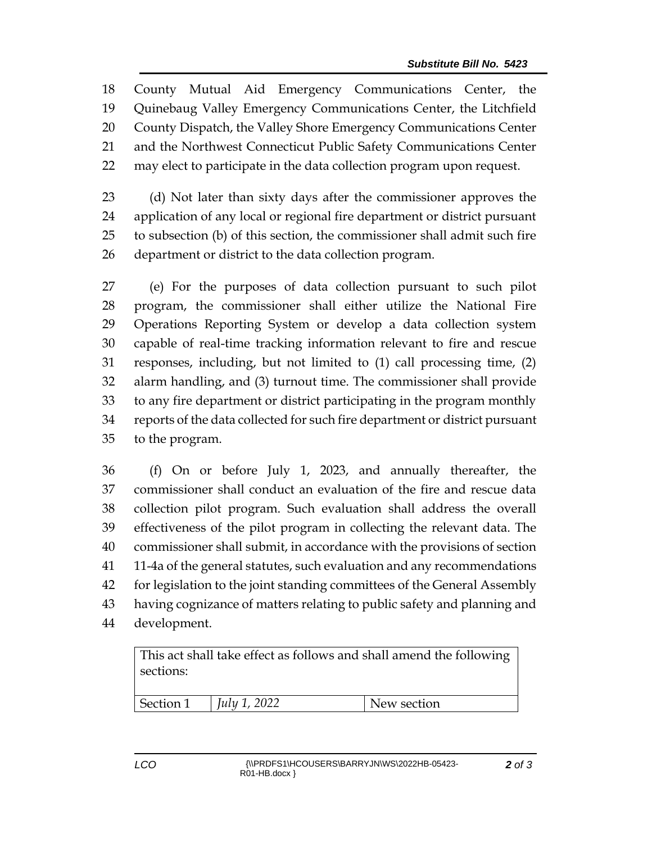County Mutual Aid Emergency Communications Center, the Quinebaug Valley Emergency Communications Center, the Litchfield County Dispatch, the Valley Shore Emergency Communications Center and the Northwest Connecticut Public Safety Communications Center may elect to participate in the data collection program upon request.

 (d) Not later than sixty days after the commissioner approves the application of any local or regional fire department or district pursuant to subsection (b) of this section, the commissioner shall admit such fire department or district to the data collection program.

 (e) For the purposes of data collection pursuant to such pilot program, the commissioner shall either utilize the National Fire Operations Reporting System or develop a data collection system capable of real-time tracking information relevant to fire and rescue responses, including, but not limited to (1) call processing time, (2) alarm handling, and (3) turnout time. The commissioner shall provide to any fire department or district participating in the program monthly reports of the data collected for such fire department or district pursuant to the program.

 (f) On or before July 1, 2023, and annually thereafter, the commissioner shall conduct an evaluation of the fire and rescue data collection pilot program. Such evaluation shall address the overall effectiveness of the pilot program in collecting the relevant data. The commissioner shall submit, in accordance with the provisions of section 11-4a of the general statutes, such evaluation and any recommendations for legislation to the joint standing committees of the General Assembly having cognizance of matters relating to public safety and planning and development.

This act shall take effect as follows and shall amend the following sections: Section 1 *July 1, 2022* New section